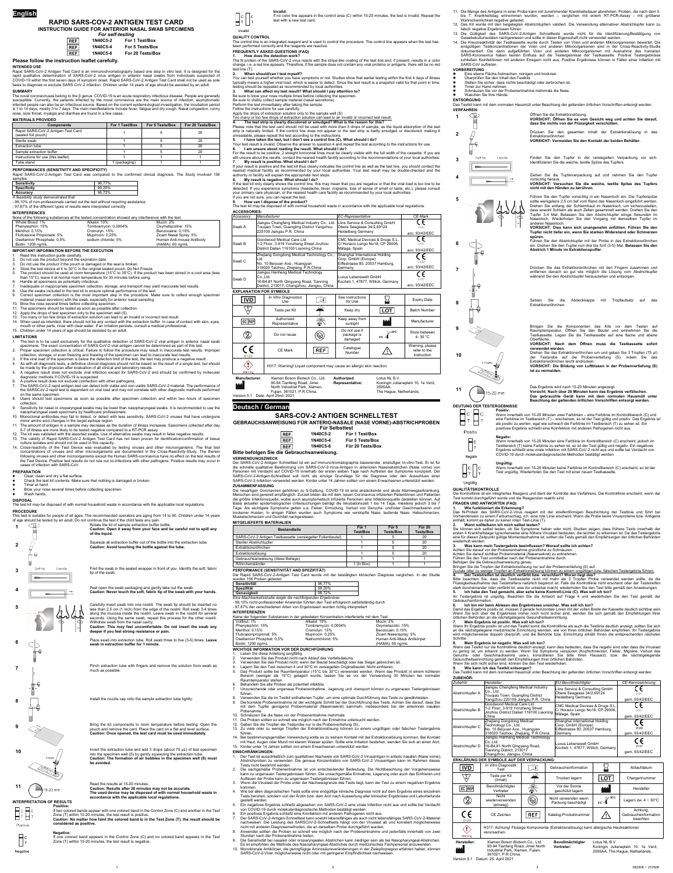# **RAPID SARS-COV-2 ANTIGEN TEST CARD INSTRUCTION GUIDE FOR ANTERIOR NASAL SWAB SPECIMENS**

| <b>For self-testing</b> |          |                  |  |
|-------------------------|----------|------------------|--|
| REF                     | 1N40C5-2 | For 1 Test/Box   |  |
| REF                     | 1N40C5-4 | For 5 Tests/Box  |  |
| REF                     | 1N40C5-6 | For 20 Tests/Box |  |

### **Please follow the instruction leaflet carefully.**

#### **INTENDED USE**

Rapid SARS-CoV-2 Antigen Test Card is an immunochromatography based one step in vitro test. It is designed for the rapid qualitative determination of SARS-CoV-2 virus antigen in anterior nasal swabs from individuals suspected of COVID-19 within the first seven days of symptom onset. Rapid SARS-CoV-2 Antigen Test Card shall not be used as sole basis to diagnose or exclude SARS-CoV-2 infection. Children under 14 years of age should be assisted by an adult.

**SUMMARY** The novel coronaviruses belong to the β genus. COVID-19 is an acute respiratory infectious disease. People are generally susceptible. Currently, the patients infected by the novel coronavirus are the main source of infection, asymptomatic infected people can also be an infectious source. Based on the current epidemiological investigation, the incubation period is 1 to 14 days, mostly 3 to 7 days. The main manifestations include fever, fatigue and dry cough. Nasal congestion, runny nose, sore throat, myalgia and diarrhea are found in a few cases.

#### **MATERIALS PROVIDED**

| <b>Components</b>                                         | For 1 Test/Box | For 5 Tests/Box | For 20 Tests/Box |  |
|-----------------------------------------------------------|----------------|-----------------|------------------|--|
| Rapid SARS-CoV-2 Antigen Test Card<br>(sealed foil pouch) |                |                 | 20               |  |
| Sterile swab                                              |                |                 | 20               |  |
| Extraction tube                                           |                |                 | 20               |  |
| Sample extraction buffer                                  |                |                 | 20               |  |
| Instructions for use (this leaflet)                       |                |                 |                  |  |
| Tube stand                                                | 1 (packaging)  |                 |                  |  |

## **PERFORMANCES (SENSITIVITY AND SPECIFICITY)**

Rapid SARS-CoV-2-Antigen Test Card was compared to the confirmed clinical diagnosis. The Study involved 156

| samples.                               |                                                                                 |
|----------------------------------------|---------------------------------------------------------------------------------|
| <b>Sensitivity</b>                     | 96.77%                                                                          |
| <b>Specificity</b>                     | 99.20%                                                                          |
| Accuracy                               | 98.72%                                                                          |
| A feasibility study demonstrated that: |                                                                                 |
|                                        | - 99,10% of non-professionals carried out the test without requiring assistance |

- 97,87% of the different types of results were interpreted correctly

- Read this instruction quide carefully
- 2. Do not use the product beyond the expiration date.
- Do not use the product if the pouch is damaged or the seal is broken.
- Store the test device at 4 to 30°C in the original sealed pouch. Do Not Freeze.
- 5. The product should be used at room temperature (15°C to 30°C). If the product has been stored in a cool area (less than 15°C), leave it at normal room temperature for 30 minutes before using.
- 6. Handle all specimens as potentially infectious.
- Inadequate or inappropriate specimen collection, storage, and transport may yield inaccurate test results.
- Use the swabs included in the test kit to ensure optimal performance of the test. 9. Correct specimen collection is the most important step in the procedure. Make sure to collect enough specimen
- material (nasal secretion) with the swab, especially for anterior nasal sampling.
- 10. Blow the nose several times before collecting specimen. 11. The specimens should be tested as soon as possible after collection.
- 12. Apply the drops of test specimen only to the specimen well (S).
- 13. Too many or too few drops of extraction solution can lead to an invalid or incorrect test result.
- 14. When used as intended, there should not be any contact with the extraction buffer. In case of contact with skin, eyes, mouth or other parts, rinse with clear water. If an irritation persists, consult a medical professional. 15. Children under 14 years of age should be assisted by an adult.

#### **INTERFERENCES**

|                             | None of the following substances at the tested concentration showed any interference with the test. |                           |
|-----------------------------|-----------------------------------------------------------------------------------------------------|---------------------------|
| Whole Blood: 1%             | Alkalol: 10%                                                                                        | Mucin: 2%                 |
| Phenylephrin: 15%           | Tombramycin: 0,0004%                                                                                | Oxymetazoline: 15%        |
| Menthol: $0.15\%$           | Cromolyn: 15%                                                                                       | Benzocaine: 0,15%         |
| Fluticasone Propionate: 5%  | Mupirocin: 0,25%                                                                                    | Zicam Nasal Spray: 5%     |
| Oseltamivir Phosphate: 0,5% | sodium chloride: 5%                                                                                 | Human Anti-mouse Antibody |
| Biotin: 1200 ng/mL          |                                                                                                     | (HAMA): 60 ng/mL          |

#### **IMPORTANT INFORMATION BEFORE THE EXECUTION**

- The test is to be used exclusively for the qualitative detection of SARS-CoV-2 viral antigen in anterior nasal swab specimens. The exact concentration of SARS-CoV-2 viral antigen cannot be determined as part of this test.
- 2. Proper specimen collection is critical. Failure to follow the procedure may result in inaccurate test results. Improper
- collection, storage, or even freezing and thawing of the specimen can lead to inaccurate test results. If the viral load of the specimen is below the detection limit of the test, the test may produce a negative result.
- 4. As with all diagnostic tests, a definitive clinical diagnosis should not be based on the result of a single test, but should be made by the physician after evaluation of all clinical and laboratory results.
- 5. A negative result does not exclude viral infection except for SARS-CoV-2 and should be confirmed by molecular
- diagnostic methods if COVID-19 is suspected.
- 6. A positive result does not exclude coinfection with other pathogens. 7. The SARS-CoV-2 rapid antigen test can detect both viable and non-viable SARS-CoV-2 material. The performance of the SARSCoV-2 rapid test is dependent on viral load and may not correlate with other diagnostic methods performed
- on the same specimen. Users should test specimens as soon as possible after specimen collection and within two hours of specimen
- collection. Sensitivity for nasal or oroparyngeal swabs may be lower than nasopharyngeal swabs. It is recommended to use the nasopharyngeal swab specimens by healthcare professionals.
- 10. Monoclonal antibodies may fail to detect, or detect with less sensitivity, SARS-CoV-2 viruses that have undergone minor amino acid changes in the target epitope region.
- 11. The amount of antigen in a sample may decrease as the duration of illness increases. Specimens collected after day 5-7 of illness are more likely to be tested negative compared to a RT-PCR assay.
- 12. The kit was validated with the assorted swabs. Use of alternative swabs may result in false negative results. 13. The validity of Rapid SARS-CoV-2 Antigen Test Card has not been proven for dentification/confirmation of tissue
- culture isolates and should not be used in this capacity. 14. Cross-reactivity of the Test Device was evaluated by testing viruses and other microorganisms. The final test
- concentrations of viruses and other microorganisms are documented in the Cross-Reactivity-Study. The therein following viruses and other microorganisms except the Human SARS-coronavirus have no effect on the test results of the Test Device. Positive test results do not rule out co-infections with other pathogens. Positive results may occur in cases of infection with SARS-CoV.

## **LIMITATIONS**

### Invalid **QUALITY CONTROL**

The N protein of the SARS-CoV-2 virus reacts with the stripe-like coating of the test line and, if present, results in a color<br>change, i.e. a red line appears. Therefore, if the sample does not contain any viral proteins o test line (T).

Please note that the test card should not be used with more than 3 drops of sample, as the liquid absorption of the test<br>strip is naturally limited. If the control line does not appear or the test strip is badly smudged or unreadable, please repeat the test according to the instructions.

If your result is positive and the test kit thus clearly indicates the control line as well as the test line, you should contact the<br>nearest medical facility as recommended by your local authorities. Your test result may b authority or facility will explain the appropriate next steps.

## **PREPARATION**

- Clear, clean and dry a flat surface.
- Check the test kit contents. Make sure that nothing is damaged or broken. Timer at hand.
- Blow your nose several times before collecting specimen.
- Wash hands.

## **DISPOSAL**

The test kit may be disposed of with normal household waste in accordance with the applicable local regulations.

#### **PROCEDURE**

This test is suitable for people of all ages. The recommended operators are aging from 14 to 90. Children under 14 years of age should be tested by an adult. Do not continue the test if the child feels any pain.

**Caution: Open it away from your face and be careful not to spill any** 

**of the liquid.**

**Caution: Avoid touching the bottle against the tube.**



**9** Bring the kit components to room temperature before testing. Open the pouch and remove the card. Place the card on a flat and level surface.

**10 IDURE 10** Invert the extraction tube and add 3 drops (about 75 µL) of test specimen into the specimen well (S) by gently squeezing the extraction tube.

tip of the swab.

Die neuartigen Coronaviren gehöhren zu ß-Gattung. COVID-19 ist eine ansteckende und akute Atemwegserkrankung. Menschen sind generell empf

along the mucosa inside the nostril. Leave swab in the nostril for several seconds. Using the same swab, repeat this process for the other nostril.

Withdraw swab from the nasal cavity.

**Caution: This may feel uncomfortable. Do not insert the swab any** 

**deeper if you feel strong resistance or pain.**

**6** Place swab into extraction tube. Roll swab three to five (3-5) times. **Leave** 

**swab in extraction buffer for 1 minute.** 

**7** Pinch extraction tube with fingers and remove the solution from swab as

much as possible.

**8** Install the nozzle cap onto the sample extraction tube tightly.

**Caution: Once opened, the test card must be used immediately.**

**Caution: The formation of air bubbles in the specimen well (S) must** 

**be avoided.**



**Caution: Results after 20 minutes may not be accurate.**

Positive

**The used device may be disposed of with normal household waste in** 

**accordance with the applicable local regulations.**

**INTERPRETATION OF RESULTS Positive:**

If two colored bands appear with one colored band in the Control Zone (C) and another in the Test Zone (T) within 15-20 minutes, the test result is positive.

**Caution: No matter how faint the colored band is in the Test Zone (T), the result should be considered as positive.**

**Negative:**

If one colored band appears in the Control Zone (C) and no colored band appears in the Test Zone (T) within 15-20 minutes, the test result is negative.

- Lesen Sie diese Anleitung sorgfältig.
- 2. Verwenden Sie das Produkt nicht nach Ablauf des Verfallsdatums.
- 3. Verwenden Sie das Produkt nicht, wenn der Beutel beschädigt oder das Siegel gebrochen ist.
- Lagern Sie den Test zwischen 4 und 30°C im versiegelten Originalbeutel. Nicht einfrieren.
- 5. Das Produkt sollte bei Raumtemperatur (15°C bis 30°C) verwendet werden. Wenn das Produkt in einem kühleren Bereich (weniger als 15°C) gelagert wurde, lassen Sie es vor der Verwendung 30 Minuten bei normaler Raumtemperatur stehen.
- 6. Behandeln Sie alle Proben als potentiell infektiös.
- 7. Unzureichende oder ungenaue Probenentnahme, -lagerung und -transport können zu ungenauen Testergebnissen führen.
- 8. Verwenden Sie die im Testkit enthaltenen Tupfer, um eine optimale Durchführung des Tests zu gewährleisten.
- 9. Die korrekte Probenentnahme ist der wichtigste Schritt bei der Durchführung des Tests. Achten Sie darauf, dass Sie mit dem Tupfer genügend Probenmaterial (Nasensekret) sammeln, insbesondere bei der anterioren nasalen Pobenahme.
- 10. Schnäuzen Sie die Nase vor der Probenentnahme mehrmals.
- 11. Die Proben sollten so schnell wie möglich nach der Entnahme untersucht werden..
- 12. Geben Sie die Tropfen der Testprobe nur in die Probenvertiefung (S)..
- 13. Zu viele oder zu wenige Tropfen der Extraktionslösung können zu einem ungültigen oder falschen Testergebnis führen.
- 14. Bei bestimmungsgemäßer Verwendung sollte es zu keinem Kontakt mit der Extraktionslösung kommen. Bei Kontakt mit Haut, Augen oder Mund mit klarem Wasser spülen. Sollte eine Irritation bestehen, wenden Sie sich an einen Arzt.
- 15. Kinder unter 14 Jahren sollten von einem Erwachsenen unterstützt werden.

- 1. Der Test ist ausschließlich zum qualitativen Nachweis von SARS-CoV-2 Virusantigen in anterio nasalen (Nase vorne), Abstrichproben zu verwenden. Die genaue Konzentration von SARS-CoV-2 Virusantigen kann im Rahmen dieses Tests nicht bestimmt werden.
- 2. Die sachgemäße Probenentnahme ist von entscheidender Bedeutung. Die Nichtbeachtung der Vorgehensweise kann zu ungenauen Testergebnissen führen. Die unsachgemäße Entnahme, Lagerung oder auch das Einfrieren und Auftauen der Probe kann zu ungenauen Testergebnissen führen.
- 3. Wenn die Viruslast der Probe unter der Nachweisgrenze des Tests liegt, kann der Test zu einem negativen Ergebnis kommen.
- 4. Wie bei allen diagnostischen Tests sollte eine endgültige klinische Diagnose nicht auf dem Ergebnis eines einzelnen Tests beruhen, sondern von der Ärztin bzw. dem Arzt nach Auswertung aller klinischer Ergebnisse und Laborbefunde estellt werden
- 5. Ein negatives Ergebnis schließt abgesehen von SARS-CoV-2 eine virale Infektion nicht aus und sollte bei Verdacht von COVID-19 durch molekulardiagnostische Methoden bestätigt werden.
- 6. Ein positives Ergebnis schließt eine Koinfektion mit anderen Pathogenen nicht aus.
- 7. Der SARS-CoV-2-Antigen-Schnelltest kann sowohl lebensfähiges als auch nicht lebensfähiges SARS-CoV-2-Material nachweisen. Die Leistung des SARSCoV-2-Schnelltests hängt von der Viruslast ab und korreliert möglicherweise nicht mit anderen Diagnosemethoden, die an derselben Probe durchgeführt wurden.
- 8. Anwender sollten die Proben so schnell wie möglich nach der Probenentnahme und jedenfalls innerhalb von zwei Stunden nach der Probenentnahme testen.
- 9. Die Sensitivität bei nasalen oder oroparyngealen Abstrichen kann niedriger sein als bei Nasopharyngeal-Abstrichen. Es ist empfohlen die Methode des Nasopharyngeal-Abstriches durch medizinisches Fachpersonal anzuwenden.
- 10. Monoklonale Antikörper, die geringfügige Aminosäureveränderungen in der Zielepitopregion erfahren haben, können SARS-CoV-2-Viren möglicherweise nicht oder mit geringerer Empfindlichkeit nachweise

## **Invalid:**

If no color line appears in the control area (C) within 15-20 minutes, the test is invalid. Repeat the test with a new test card.

The control line is an integrated reagent and is used to control the procedure. The control line appears when the test has been performed correctly and the reagents are reactive.

## **FREQUENTLY ASKED QUESTIONS (FAQ)**

**1. How does the detection work?**

**2. When should/can I test myself?** You can test yourself whether you have symptoms or not. Studies show that earlier testing within the first 4 days of illness typically means a higher viral load, which is easier to detect. Since the test result is a snapshot valid for that point in time, testing should be repeated as recommended by local authorities.

**3. What can affect my test result? What should I pay attention to?**

Be sure to blow your nose multiple times before collecting the specimen.

Be sure to visibly collect sample material (nasal secretions). Perform the test immediately after taking the sample.

Follow the instructions for use carefully.

# Apply the drops of extraction solution only to the sample well (S)<br><u>Too many or too few drops of extraction solution can lead to an invalid or incorrect test result.</u>

**4. The test strip is clearly discolored or smudged? What is the reason for this?**

**1** CB<sub>2</sub> **CB**<sub>2</sub> **Officen Sie die Extraktionslösung.**<br>**VORSICHT: Öffnen Sie es vom Gesicht weg und achten Sie darauf, dass Sie nichts von der Flüssigkeit verschütten. 2**  $\sqrt{ }$  Drücken Sie den gesamten Inhalt der Extraktionslösung in das Extraktionsröhrchen. **VORSICHT: Vermeiden Sie den Kontakt der beiden Behälter.**

- 
- **5. I have taken the test, but I don't see a control line (C). What should I do?** Your test result is invalid. Observe the answer to question 4 and repeat the test according to the instructions for use. **6. I am unsure about reading the result. What should I do?**
- For the result to be positive, 2 straight horizontal lines must be clearly visible with the full width of the cassette. If you are<br>still unsure about the results, contact the nearest health facility according to the recomm **7. My result is positive. What should I do?**

**VORSICHT: Dies kann sich unangenehm anfühlen. Führen Sie den Tupfer nicht tiefer ein, wenn Sie starken Widerstand oder Schmerzen**  Führen Sie den Abstrichtupfer mit der Probe in das Extraktionsröhrchen

**6 Führen Sie den Abstrichtupfer mit der Probe in das Extraktionsröhrchen**<br>ein. Drehen Sie den Tupfer nun drei bis fünf (3-5) Mal. **Belassen Sie den Abstrich 1 Minute im Extraktionspuffer**.

**7** Drücken Sie das Extraktionsröhrchen mit den Fingern zusammen und

**9 Bringen** Sie die Komponenten des Kits vor dem Testen auf

**8. My result is negative. What should I do?** If the test kit only clearly shows the control line, this may mean that you are negative or that the viral load is too low to be detected. If you experience symptoms (headache, fever, migraine, loss of sense of smell or taste, etc.), please consult your primary care physician, or the nearest health care facility as recommended by your local authorities. If you are not sure, you can repeat the test.

**9. How can I dispose of the product?**

The test kit may be disposed of with normal household waste in accordance with the applicable local regulations.

Das N-Protein des SARS-CoV-2-Virus reagiert mit der streifenförmigen Beschichtung der Testlinie und führt bei<br>Vorhandensein zu einem Farbumschlag, d.h. eine rote Linie erscheint. Wenn die Probe keine Virusproteine bzw. Ant enthält, kommt es daher zu keiner roten Test-Linie (T).

Sie können sich selbst testen, ob Sie Symptome haben oder nicht. Studien zeigen, dass frühere Tests innerhalb der<br>ersten 4 Krankheitstage typischerweise eine höhere Viruslast bedeuten, die leichter zu erkennen ist. Da das eine für diesen Zeitpunkt gültige Momentaufnahme ist, sollten die Tests gemäß den Empfehlungen der örtlichen Behörden wiederholt werden.

**Manufacturer:** Xiamen Boson Biotech Co., Ltd. 90-94 Tianfeng Road, Jimei North Industrial Park, Xiamen, Fujian, 361021, P.R.China. **Authorized Representative:** Lotus NL B.V. Koningin Julianaplein 10, 1e Verd, 2595AA, The Hague, Netherlands.

Version 5.1 Date: April 25nd, 2021

## **Deutsch / German**

## **SARS-COV-2 ANTIGEN SCHNELLTEST**

**GEBRAUCHSANWEISUNG FÜR ANTERIO-NASALE (NASE VORNE)-ABSTRICHPROBEN Für Selbsttest**

| <b>REF</b> | 1N40C5-2 | Für 1 Test/Box   |
|------------|----------|------------------|
| REF        | 1N40C5-4 | Für 5 Tests/Box  |
| REF        | 1N40C5-6 | Für 20 Tests/Box |

### **Bitte befolgen Sie die Gebrauchsanweisung.**

**VERWENDUNGSZWECK**

Der SARS-CoV-2 Antigen Schnelltest ist ein auf Immunchromatographie basierender, einstufiger In-vitro-Test. Er ist für die schnelle qualitative Bestimmung von SARS-CoV-2-Virus-Antigen in anterioren Nasenabstrichen (Nase vorne) von Personen mit Verdacht auf COVID-19 innerhalb der ersten sieben Tage nach Auftreten der Symptome konzipiert. Der SARS-CoV-2-Antigen-Schnelltest soll nicht als einzige Grundlage für die Diagnose oder den Ausschluss einer SARS-CoV-2-Infektion verwendet werden. Kinder unter 14 Jahren sollten von einem Erwachsenen unterstützt werden. **ZUSAMMENFASSUNG**

die größte Infektionsquelle, wobei auch asymptomatisch infizierte Personen eine Infektionsquelle darstellen können. Auf Basis aktueller epidemiologischer Untersuchungen beträgt die Inkubationszeit 1 bis 14 Tage, meistens jedoch 3 bis 7 Tage. Als wichtigste Symptome gelten u.a. Fieber, Ermüdung, Verlust von Geruchs- und/oder Geschmackssinn und trockener Husten. In einigen Fällen wurden auch Symptome wie verstopfte Nase, laufende Nase, Halsschmerzen, Muskelschmerzen und Durchfall nachgewiesen.

#### **MITGELIEFERTE MATERIALIEN**

| <b>Bestandteile</b>                                         | Für 1<br><b>Test/Box</b> | Für 5<br><b>Tests/Box</b> | Für 20<br><b>Tests/Box</b> |
|-------------------------------------------------------------|--------------------------|---------------------------|----------------------------|
| SARS-CoV-2 Antigen Testkassette (versiegelter Folienbeutel) |                          |                           | 20                         |
| Steriler Abstrichtupfer                                     |                          |                           | 20                         |
| Extraktionsröhrchen                                         |                          |                           | 20                         |
| Extraktionslösung                                           |                          |                           | 20                         |
| Gebrauchsanweisung (diese Beilage)                          |                          |                           |                            |
| Röhrchenständer                                             | $1$ (In Box)             |                           |                            |

## **PERFORMANCE (SENSITIVITÄT AND SPEZIFITÄT)**

Die Rapid SARS-CoV-2-Antigen Test Card wurde mit der bestätigten klinischen Diagnose verglichen. In der Studie wurden 156 Proben getestet.

| wardon 100 Frobon gotootot.                                  |        |  |
|--------------------------------------------------------------|--------|--|
| Sensitivität                                                 | 96.77% |  |
| Spezifität                                                   | 99.20% |  |
| Genauigkeit                                                  | 98.72% |  |
| Eine Machbarkeitsstudie zeigte die nachfolgenden Ergebnisse: |        |  |

- 99,10% nicht-professioneller Anwender führten den Test erfolgreich selbstständig durch - 97,87% der verschiedenen Arten von Ergebnissen wurden richtig interpretiert

#### **INTERFERENZEN**

#### Keine der folgenden Substanzen in der getesteten Konzentration interferierte mit dem Test.

| Vollblut: 1%               | Alkalol: 10%         | Mucin: 2%                  |
|----------------------------|----------------------|----------------------------|
| Phenylephrin: 15%          | Tombramycin: 0,0004% | Oxymetazolin: 15%          |
| Menthol: $0.15%$           | Cromolyn: 15%        | Benzocain: 0.15%           |
| Fluticasonpropionat: 5%    | Mupirocin: 0,25%     | Zicam Nasenspray: 5%       |
| Oseltamivir Phosphat: 0,5% | Natriumchlorid: 5%   | Human Anti-Maus Antikörper |
| Biotin: 1200 ng/mL         |                      | (HAMA): 60 ng/mL           |

### **WICHTIGE INFORMATION VOR DER DURCHFÜHRUNG**

#### **EINSCHRÄNKUNGEN:**

- 11. Die Menge des Antigens in einer Probe kann mit zunehmender Krankheitsdauer abnehmen. Proben, die nach dem 5. bis 7. Krankheitstag entnommen wurden, werden – verglichen mit einem RT-PCR-Assay - mit größerer Wahrscheinlichkeit negative getestet.
- 12. Das Kit wurde mit den beigelegten Abstrichtupfern validiert. Die Verwendung alternativer Abstrichtupfer kann zu falsch negative Ergebnissen führen.
- 13. Die Gültigkeit des SARS-CoV-2-Antigen Schnelltests wurde nicht für die Identifizierung/Bestätigung von Gewebekulturisolaten nachgewiesen und sollte in dieser Eigenschaft nicht verwendet werden.
- 14. Die Kreuzreaktivität der Testkassette wurde durch Testen von Viren und anderen Mikroorganismen bewertet. Die endgültigen Testkonzentrationen der Viren und anderen Mikroorganismen sind in der Cross-Reactivity-Studie dokumentiert. Die darin aufgeführten Viren und anderen Mikroorganismen mit Ausnahme des humanen SARS-Koronavirus haben keinen Einfluss auf die Testergebnisse der Testkassette. Positive Testergebnisse schließen Koinfektionen mit anderen Erregern nicht aus. Positive Ergebnisse können in Fällen einer Infektion mit SARS-CoV auftreten.

| Accessory           |                                                                                                                           | <b>Manufacturer</b>                                                                                                         |                                                                                                     | <b>EC-Representative</b>                                                                  |                              | CE-Mark                                        |
|---------------------|---------------------------------------------------------------------------------------------------------------------------|-----------------------------------------------------------------------------------------------------------------------------|-----------------------------------------------------------------------------------------------------|-------------------------------------------------------------------------------------------|------------------------------|------------------------------------------------|
| Swab A              |                                                                                                                           | Jiangsu Changfeng Medical Industry Co., Ltd.<br>Tougiao Town, Guangling District Yangzhou<br>225109 Jiangsu P.R. China      |                                                                                                     | Llins Service & Consulting GmbH<br>Obere Seegasse 34/2,69124<br><b>Heidelberg Germany</b> |                              | 0197<br>acc. 93/42/EEC                         |
| Swab B              |                                                                                                                           | Goodwood Medical Care Ltd.<br>1-2 Floor, 3-919 Yonzheng Street Jinzhou<br>District Dalian 116100 Liaoning China             |                                                                                                     | CMC Medical Devices & Drugs S.L.<br>C/ Horacio Lengo No18, CP 29006,<br>Màlaga, Spain     |                              | :€<br>0197<br>acc. 93/42/EEC                   |
| Swab <sub>C</sub>   | Zhejiang Gongdong Medical Technology Co.,<br>Ltd.<br>No. 10 Beiyuan Ave., Huangyan<br>318020 Taizhou, Zhejiang, P.R.China |                                                                                                                             | Shanghai International Holding<br>Corp. GmbH (Europe)<br>Eiffestrasse 80, 20537 Hamburg,<br>Germany |                                                                                           | CE<br>0123<br>acc. 93/42/EEC |                                                |
| Swab D              | Co.,Ltd.                                                                                                                  | Jiangsu Hanheng Medical Technology<br>16-B4,#1 North Qingyang Road, Tianning<br>District, 213017, Changzhou, Jiangsu, China |                                                                                                     | Luxus Lebenswelt GmbH<br>Kochstr.1, 47877, Willich, Germany                               |                              | 0197<br>acc. 93/42/EEC                         |
|                     |                                                                                                                           | <b>EXPLANATION FOR SYMBOLS</b>                                                                                              |                                                                                                     |                                                                                           |                              |                                                |
| <b>IVD</b>          |                                                                                                                           | In Vitro Diagnostics<br>Use                                                                                                 | $ \mathbf{i} $                                                                                      | See Instructions<br>for Use                                                               |                              | <b>Expiry Date</b>                             |
|                     |                                                                                                                           | Tests per Kit                                                                                                               |                                                                                                     | Keep dry                                                                                  | <b>LOT</b>                   | <b>Batch Number</b>                            |
| EC REP              |                                                                                                                           | Authorized<br>Representative                                                                                                |                                                                                                     | Keep away from<br>sunlight                                                                |                              | Manufacturer                                   |
| Ջ                   |                                                                                                                           | Do not reuse                                                                                                                |                                                                                                     | Do not use if<br>package is<br>damaged                                                    | $30^{\circ}$ C<br>4°C        | Store between<br>4-30 $^{\circ}$ C             |
| $c\epsilon$<br>0123 |                                                                                                                           | <b>CE Mark</b>                                                                                                              | <b>REF</b>                                                                                          | Catalogue<br>Number                                                                       |                              | Warning, please<br>refer to the<br>instruction |
| Warning             |                                                                                                                           | H317: Warning! Liquid component may cause an allergic skin reaction.                                                        |                                                                                                     |                                                                                           |                              |                                                |

#### **VORBEREITUNG**

- Eine ebene Fläche freimachen, reinigen und trocknen.
- Überprüfen Sie den Inhalt des Testkits Stellen Sie sicher, dass nichts beschädigt oder zerbrochen ist.
- Timer zur Hand nehmen.
- Schnäuzen Sie vor der Probenentnahme mehrmals die Nase.
- Waschen Sie Ihre Hände.

## **ENTSORGUNG**

Das Testkit kann mit dem normalen Hausmüll unter Beachtung der geltenden örtlichen Vorschriften entsorgt werden. **VERFAHREN:**



-9

一日

Identifizieren Sie die weiche, textile Spitze des Tupfers.

**4** Ziehen Sie die Tupferverpackung auf und nehmen Sie den Tupfer

vorsichtig heraus.

**VORSICHT: Versuchen Sie die weiche, textile Spitze des Tupfers** 

**nicht mit den Händen zu berühren. 5** Führen Sie den Tupfer vorsichtig in ein Nasenloch ein. Die Tupferspitze

sollte wenigstens 2,5 cm tief vom Rand des Nasenloch eingeführt werden. Drehen Sie entlang der Schleimhaut im Nasenloch, um sicherzustellen, dass sowohl Schleim als auch Zellen gesammelt werden. Drehen Sie den Tupfer 3-4 Mal. Belassen Sie den Abstrichtupfer einige Sekunden im Nasenloch. Wiederholen Sie den Vorgang mit demselben Tupfer im

anderen Nasenloch.

entfernen danach so gut wie möglich die Lösung vom Abstrichtupfer

während Sie den Abstrichtupfer herausziehen und entsorgen.

**8** Setzen Sie die Abdeckkappe mit Tropfaufsatz auf das

Extraktionsröhrchen.

Raumptemperatur. Öffnen Sie den Beutel und entnehmen Sie die Testkassette. Legen Sie die Testkassette auf eine flache und ebene

Oberfläche.

**VORSICHT: Nach dem Öffnen muss die Testkassette sofort verwendet werden.**

**10** Drehen Sie das Extraktionsröhrchen um und geben Sie 3 Tropfen (75 μl) der Testprobe auf die Probenvertiefung (S), indem Sie das Extraktionsröhrchen leicht andrücken.

**VORSICHT: Die Bildung von Luftblasen in der Probenvertiefung (S)** 

**ist zu vermeiden.**

**11** Das Ergebnis wird nach 15-20 Minuten angezeigt.<br>**11 Das Ergebnis wird nach 15-20 Minuten kann das Erge** 

**Vorsicht: Nach über 20 Minuten kann das Ergebnis verfälschen. Das gebrauchte Gerät kann mit dem normalen Hausmüll unter Beachtung der geltenden örtlichen Vorschriften entsorgt werden.**

**Positiv:**

Wenn innerhalb von 15-20 Minuten zwei Farblinien – eine Farblinie im Kontrollbereich (C) und eine Farblinie im Testbereich (T) – erscheinen, so ist der Test gültig und positiv. Das Ergebnis ist als positiv zu werten, egal wie schwach die Farblinie im Testbereich (T) zu sehen ist. Ein positives Ergebnis schließt eine Koinfektion mit anderen Pathogenen nicht aus.

**Negativ:**

Wenn innerhalb von 15-20 Minuten eine Farblinie im Kontrollbereich (C) erscheint, jedoch im Testbereich (T) keine Farblinie zu sehen ist, so ist der Test gültig und negativ. Ein negatives Ergebnis schließt eine virale Infektion mit SARS-CoV-2 nicht aus und sollte bei Verdacht von

COVID-19 durch molekulardiagnostische Methoden bestätigt werden.

**Ungültig:**

Wenn innerhalb von 15-20 Minuten keine Farblinie im Kontrollbereich (C) erscheint, so ist der

Test ungültig. Wiederholen Sie den Test mit einer neuen Testkassette.

**QUALITÄTSKONTROLLE**

Negativ

⊟™ ∐ Ungültig

**DEUTUNG DER TESTERGEBNISSE**<br>  $\Box \sim \Box_C$  Positiv:<br>
Wenn innerh

</sub> Н Positiv  $\Box$ 

Die Kontrolllinie ist ein integriertes Reagenz und dient der Kontrolle des Verfahrens. Die Kontrolllinie erscheint, wenn der Test korrekt durchgeführt wurde und die Reagenzien reaktiv sind.

#### **FRAGEN UND ANTWORTEN (FAQ) 1. Wie funktioniert die Erkennung?**

**2. Wann sollte/kann ich mich selbst testen?**

## **3. Was kann mein Testergebnis beeinflussen? Worauf sollte ich achten?**

Achten Sie darauf vor der Probenentnahme gründliche zu Schnäuzen.

Achten Sie darauf sichtbar Probenmaterial (Nasensekret) zu entnehmen.

Führen Sie den Test unmittelbar nach der Probenentnahme durch.

Befolgen Sie die Gebrauchsanweisung genau.

Bringen Sie die Tropfen der Extraktionslösung nur auf der Probenvertiefung (S) auf.

#### Zuviele oder zu wenige Tropfen an Extraktionslösung können zu einem ungültigen bzw. falschen Testergebnis führen. **4. Der Teststreifen ist deutlich verfärbt bzw. verschliert? Woran liegt das?**

Bitte beachten Sie, dass die Testkassette nicht mit mehr als 3 Tropfen Probe verwendet werden sollte, da die Flüssigkeitsaufnahme des Teststreifens natürlich begrenzt ist. Falls die Kontrolllinie nicht erscheint oder der Teststreifen<br>stark durcheinander oder verfärbt ist, was ihn unlesbar macht, wiederholen Sie den Test bitte gem **5. Ich habe den Test gemacht, aber sehe keine Kontroll-Linie (C). Was soll ich tun?**

Ihr Testergebnis ist ungültig. Beachten Sie die Antwort auf Frage 4 und wiederholen Sie den Test gemäß der Gebrauchsinformation.

**6. Ich bin mir beim Ablesen des Ergebnisses unsicher. Was soll ich tun?** Damit das Ergebnis positiv ist, müssen 2 gerade horizontale Linien mit der vollen Breite der Kassette deutlich sichtbar sein. Wenn Sie sich über die Ergebnisse immer noch nicht sicher sind, wenden Sie sich gemäß den Empfehlungen Ihrer örtlichen Behörden an die nächstgelegene Gesundheitseinrichtung.

#### **7. Mein Ergebnis ist positiv. Was soll ich tun?**

Wenn Ihr Ergebnis positiv ist und das Testkit somit die Kontrolllinie als auch die Testlinie deutlich anzeigt, sollten Sie sich an die nächstgelegene medizinische Einrichtung wenden, wie von Ihren örtlichen Behörden empfohlen. Ihr Testergebnis wird möglicherweise doppelt überprüft, und die Behörde bzw. Einrichtung erklärt Ihnen die entsprechenden nächsten Schritte.

#### **8. Mein Ergebnis ist negativ. Was soll ich tun?**

Wenn das Testkit nur die Kontrolllinie deutlich anzeigt, kann dies bedeuten, dass Sie negativ sind oder dass die Viruslast zu gering ist, um erkannt zu werden. Wenn Sie Symptome verspüren (Kopfschmerzen, Fieber, Migräne, Verlust des Geruchs- oder Geschmackssinns usw.), konsultieren Sie bitte Ihren Hausarzt, bzw. die nächstgelegende Gesundheitseinrichtung gemäß den Empfehlungen Ihrer örtlichen Behörden. Wenn Sie sich nicht sicher sind, können Sie den Test wiederholen.

**9. Wie kann ich das Testkit entsorgen?**

Das Testkit kann mit dem normalen Hausmüll unter Beachtung der geltenden örtlichen Vorschriften entsorgt werden. **ZUBEHÖR:**

| Zubehör                                   | Hersteller                                                                                                                              | EU-Bevollmächtigter                                                                                 | CE-Kennzeichnung             |  |
|-------------------------------------------|-----------------------------------------------------------------------------------------------------------------------------------------|-----------------------------------------------------------------------------------------------------|------------------------------|--|
| Abstrichtupfer A                          | Jiangsu Changfeng Medical Industry<br>Co., Ltd.<br>Tougiao Town, Guangling District<br>Yangzhou 225109 Jiangsu P.R. China               | Llins Service & Consulting GmbH<br>Obere Seegasse 34/2,69124<br><b>Heidelberg Germany</b>           | 0197<br>aem. 93/42/EEC       |  |
| Abstrichtupfer B                          | Goodwood Medical Care Ltd.<br>1-2 Floor, 3-919 Yonzheng Street<br>Jinzhou District Dalian 116100 Liaoning<br>China                      | CMC Medical Devices & Drugs S.L.<br>C/ Horacio Lengo No18, CP 29006.<br>Màlaga, Spain               | 0197<br>qem. 93/42/EEC       |  |
| Abstrichtupfer C                          | Zhejiang Gongdong Medical<br>Technology Co., Ltd.<br>No. 10 Beiyuan Ave., Huangyan<br>318020 Taizhou, Zhejiang, P.R.China               | Shanghai International Holding<br>Corp. GmbH (Europe)<br>Eiffestrasse 80, 20537 Hamburg,<br>Germany | 0123<br>aem. 93/42/EEC       |  |
| Abstrichtupfer D                          | Jiangsu Hanheng Medical Technology<br>CoLtd.<br>16-B4,#1 North Qingyang Road,<br>Tianning District, 213017<br>Changzhou, Jiangsu, China | Luxus Lebenswelt GmbH<br>Kochstr.1, 47877, Willich, Germany                                         | CE<br>0197<br>aem. 93/42/EEC |  |
| ERKLÄRUNG DER SYMBOLE AUF DER VERPACKUNG: |                                                                                                                                         |                                                                                                     |                              |  |

*In Vitro* Diagnostik **IVD** Test **Gebrauchsinformation** X Ablaufdatum Tests per Kit  $\sqrt{2}/$ ests per Kit **Chargennummer**<br>(Inhalt) **Trocken lagern LOT** Chargennummer Bevollmächtigter Vor der Sonne 淡 EC REP vor der Sonne<br>geschützt lagern Hersteller Vertreter Nicht  $\circledR$  $\circledS$ Nicht verwenden wenn **30°C** wiederverwenden Packung beschädigt  $\begin{bmatrix} 4 \cdot 2 \end{bmatrix}$  Lagern zw.  $4 \sim 30^{\circ}$ C **4°C** (einweg) Achtung, CE CE Zeichen Katalog-Produktnummer **Gebrauchsinformation** beachten H317: Achtung! Flüssige Komponente (Extraktionslösung) kann allergische Hautreaktionen  $\Diamond$ verursachen. **Hersteller:** Xiamen Boson Biotech Co., Ltd. **Bevollmächtigter**  Lotus NL B.V. 90-94 Tianfeng Road, Jimei North Koningin Julianaplein 10, 1e Verd,

Industrial Park, Xiamen, Fujian,

361021, P.R.China.

 $\frac{2}{3}$  082208 / 210509

**Vertreter:**

2595AA, The Hague, Netherlands.

Version 5.1 Datum: 25. April 2021